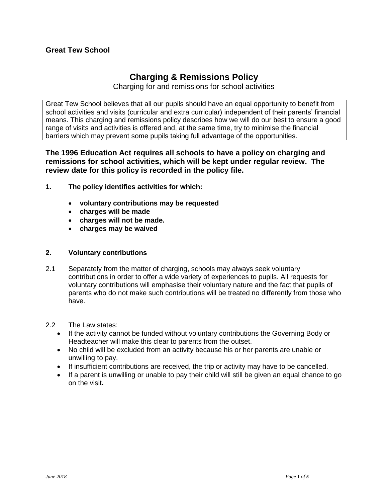# **Charging & Remissions Policy**

Charging for and remissions for school activities

Great Tew School believes that all our pupils should have an equal opportunity to benefit from school activities and visits (curricular and extra curricular) independent of their parents' financial means. This charging and remissions policy describes how we will do our best to ensure a good range of visits and activities is offered and, at the same time, try to minimise the financial barriers which may prevent some pupils taking full advantage of the opportunities.

**The 1996 Education Act requires all schools to have a policy on charging and remissions for school activities, which will be kept under regular review. The review date for this policy is recorded in the policy file.**

- **1. The policy identifies activities for which:** 
	- **voluntary contributions may be requested**
	- **charges will be made**
	- **charges will not be made.**
	- **charges may be waived**

# **2. Voluntary contributions**

- 2.1 Separately from the matter of charging, schools may always seek voluntary contributions in order to offer a wide variety of experiences to pupils. All requests for voluntary contributions will emphasise their voluntary nature and the fact that pupils of parents who do not make such contributions will be treated no differently from those who have.
- 2.2 The Law states:
	- If the activity cannot be funded without voluntary contributions the Governing Body or Headteacher will make this clear to parents from the outset.
	- No child will be excluded from an activity because his or her parents are unable or unwilling to pay.
	- If insufficient contributions are received, the trip or activity may have to be cancelled.
	- If a parent is unwilling or unable to pay their child will still be given an equal chance to go on the visit**.**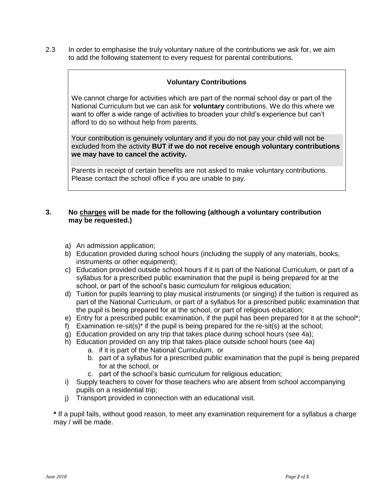2.3 In order to emphasise the truly voluntary nature of the contributions we ask for, we aim to add the following statement to every request for parental contributions.

## **Voluntary Contributions**

We cannot charge for activities which are part of the normal school day or part of the National Curriculum but we can ask for **voluntary** contributions. We do this where we want to offer a wide range of activities to broaden your child's experience but can't afford to do so without help from parents.

Your contribution is genuinely voluntary and if you do not pay your child will not be excluded from the activity **BUT if we do not receive enough voluntary contributions we may have to cancel the activity.**

Parents in receipt of certain benefits are not asked to make voluntary contributions. Please contact the school office if you are unable to pay.

#### **3. No charges will be made for the following (although a voluntary contribution may be requested.)**

- a) An admission application;
- b) Education provided during school hours (including the supply of any materials, books, instruments or other equipment);
- c) Education provided outside school hours if it is part of the National Curriculum, or part of a syllabus for a prescribed public examination that the pupil is being prepared for at the school, or part of the school's basic curriculum for religious education;
- d) Tuition for pupils learning to play musical instruments (or singing) if the tuition is required as part of the National Curriculum, or part of a syllabus for a prescribed public examination that the pupil is being prepared for at the school, or part of religious education;
- e) Entry for a prescribed public examination, if the pupil has been prepared for it at the school\*;
- f) Examination re-sit(s)\* if the pupil is being prepared for the re-sit(s) at the school;
- g) Education provided on any trip that takes place during school hours (see 4a);
- h) Education provided on any trip that takes place outside school hours (see 4a)
	- a. if it is part of the National Curriculum, or
	- b. part of a syllabus for a prescribed public examination that the pupil is being prepared for at the school, or
	- c. part of the school's basic curriculum for religious education;
- i) Supply teachers to cover for those teachers who are absent from school accompanying pupils on a residential trip;
- j) Transport provided in connection with an educational visit.

**\*** If a pupil fails, without good reason, to meet any examination requirement for a syllabus a charge may / will be made.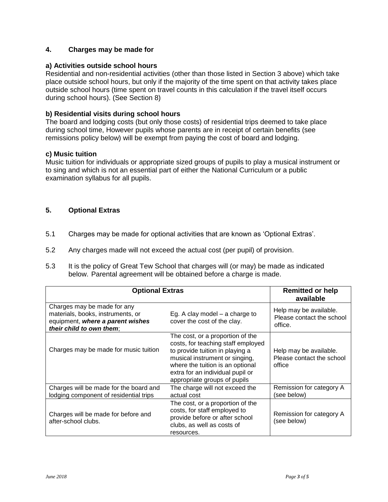# **4. Charges may be made for**

## **a) Activities outside school hours**

Residential and non-residential activities (other than those listed in Section 3 above) which take place outside school hours, but only if the majority of the time spent on that activity takes place outside school hours (time spent on travel counts in this calculation if the travel itself occurs during school hours). (See Section 8)

## **b) Residential visits during school hours**

The board and lodging costs (but only those costs) of residential trips deemed to take place during school time, However pupils whose parents are in receipt of certain benefits (see remissions policy below) will be exempt from paying the cost of board and lodging.

### **c) Music tuition**

Music tuition for individuals or appropriate sized groups of pupils to play a musical instrument or to sing and which is not an essential part of either the National Curriculum or a public examination syllabus for all pupils.

# **5. Optional Extras**

- 5.1 Charges may be made for optional activities that are known as 'Optional Extras'.
- 5.2 Any charges made will not exceed the actual cost (per pupil) of provision.
- 5.3 It is the policy of Great Tew School that charges will (or may) be made as indicated below. Parental agreement will be obtained before a charge is made.

| <b>Optional Extras</b>                                                                                                           |                                                                                                                                                                                                                                                     | <b>Remitted or help</b><br>available                           |
|----------------------------------------------------------------------------------------------------------------------------------|-----------------------------------------------------------------------------------------------------------------------------------------------------------------------------------------------------------------------------------------------------|----------------------------------------------------------------|
| Charges may be made for any<br>materials, books, instruments, or<br>equipment, where a parent wishes<br>their child to own them; | Eg. A clay model $-$ a charge to<br>cover the cost of the clay.                                                                                                                                                                                     | Help may be available.<br>Please contact the school<br>office. |
| Charges may be made for music tuition                                                                                            | The cost, or a proportion of the<br>costs, for teaching staff employed<br>to provide tuition in playing a<br>musical instrument or singing,<br>where the tuition is an optional<br>extra for an individual pupil or<br>appropriate groups of pupils | Help may be available.<br>Please contact the school<br>office  |
| Charges will be made for the board and<br>lodging component of residential trips                                                 | The charge will not exceed the<br>actual cost                                                                                                                                                                                                       | Remission for category A<br>(see below)                        |
| Charges will be made for before and<br>after-school clubs.                                                                       | The cost, or a proportion of the<br>costs, for staff employed to<br>provide before or after school<br>clubs, as well as costs of<br>resources.                                                                                                      | Remission for category A<br>(see below)                        |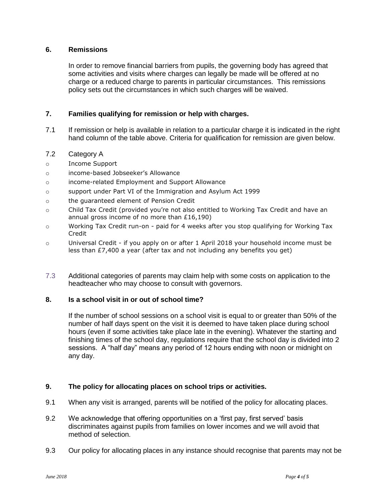## **6. Remissions**

In order to remove financial barriers from pupils, the governing body has agreed that some activities and visits where charges can legally be made will be offered at no charge or a reduced charge to parents in particular circumstances. This remissions policy sets out the circumstances in which such charges will be waived.

### **7. Families qualifying for remission or help with charges.**

- 7.1 If remission or help is available in relation to a particular charge it is indicated in the right hand column of the table above. Criteria for qualification for remission are given below.
- 7.2 Category A
- o Income Support
- o income-based Jobseeker's Allowance
- o income-related Employment and Support Allowance
- o support under Part VI of the Immigration and Asylum Act 1999
- o the guaranteed element of Pension Credit
- o Child Tax Credit (provided you're not also entitled to Working Tax Credit and have an annual gross income of no more than £16,190)
- o Working Tax Credit run-on paid for 4 weeks after you stop qualifying for Working Tax **Credit**
- o Universal Credit if you apply on or after 1 April 2018 your household income must be less than £7,400 a year (after tax and not including any benefits you get)
- 7.3 Additional categories of parents may claim help with some costs on application to the headteacher who may choose to consult with governors.

# **8. Is a school visit in or out of school time?**

If the number of school sessions on a school visit is equal to or greater than 50% of the number of half days spent on the visit it is deemed to have taken place during school hours (even if some activities take place late in the evening). Whatever the starting and finishing times of the school day, regulations require that the school day is divided into 2 sessions. A "half day" means any period of 12 hours ending with noon or midnight on any day.

#### **9. The policy for allocating places on school trips or activities.**

- 9.1 When any visit is arranged, parents will be notified of the policy for allocating places.
- 9.2 We acknowledge that offering opportunities on a 'first pay, first served' basis discriminates against pupils from families on lower incomes and we will avoid that method of selection.
- 9.3 Our policy for allocating places in any instance should recognise that parents may not be